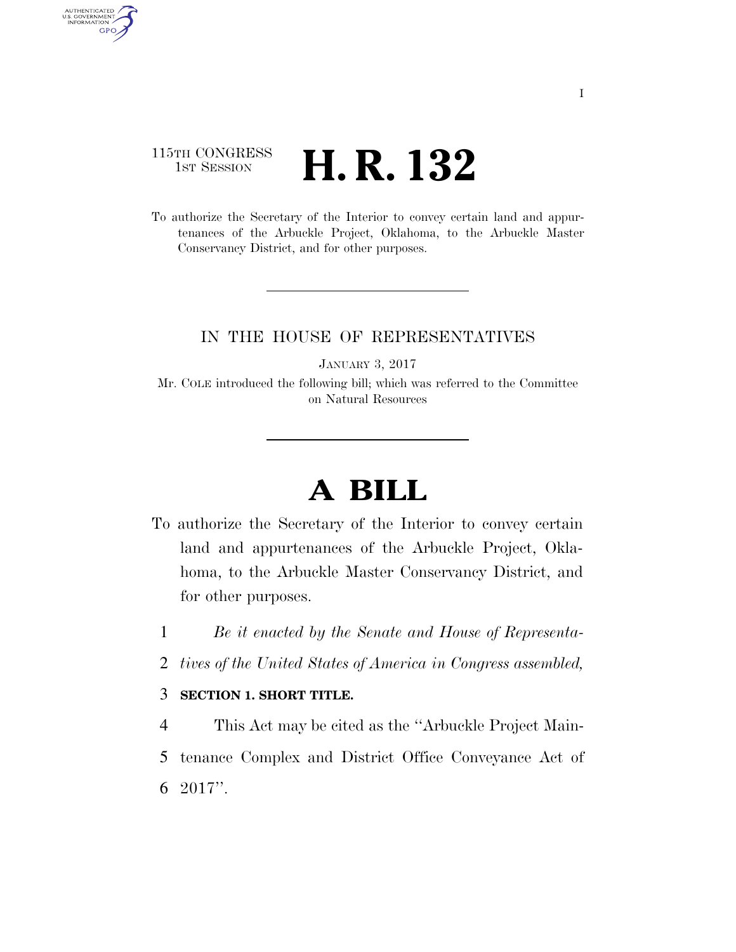### 115TH CONGRESS **1st Session H. R. 132**

AUTHENTICATED<br>U.S. GOVERNMENT<br>INFORMATION

**GPO** 

To authorize the Secretary of the Interior to convey certain land and appurtenances of the Arbuckle Project, Oklahoma, to the Arbuckle Master Conservancy District, and for other purposes.

### IN THE HOUSE OF REPRESENTATIVES

JANUARY 3, 2017

Mr. COLE introduced the following bill; which was referred to the Committee on Natural Resources

# **A BILL**

- To authorize the Secretary of the Interior to convey certain land and appurtenances of the Arbuckle Project, Oklahoma, to the Arbuckle Master Conservancy District, and for other purposes.
	- 1 *Be it enacted by the Senate and House of Representa-*
	- 2 *tives of the United States of America in Congress assembled,*

#### 3 **SECTION 1. SHORT TITLE.**

4 This Act may be cited as the ''Arbuckle Project Main-5 tenance Complex and District Office Conveyance Act of 6 2017''.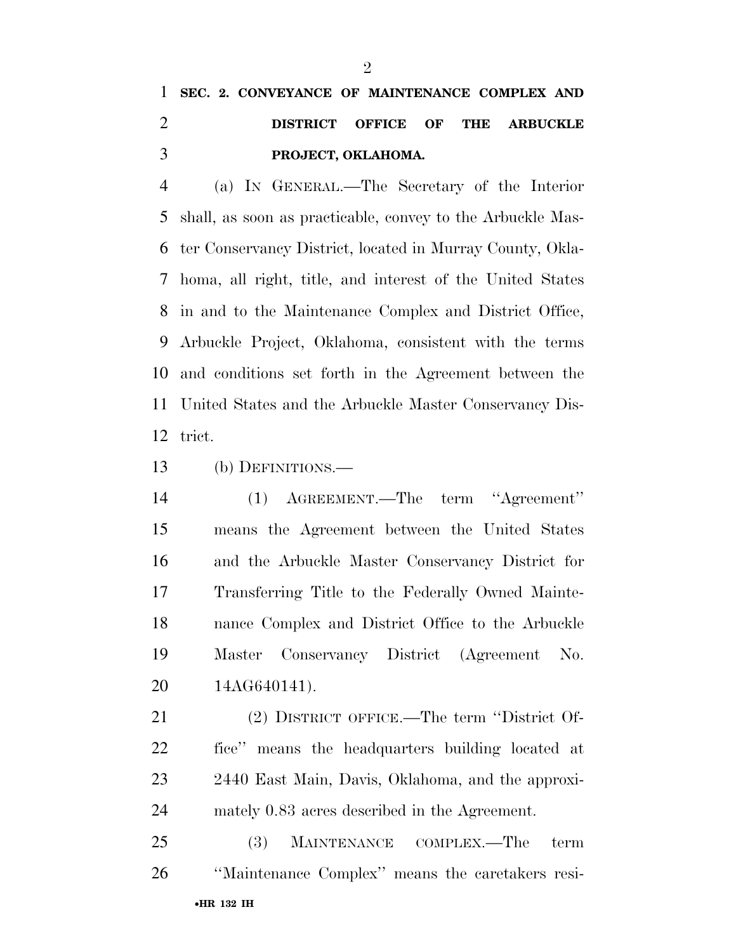## **SEC. 2. CONVEYANCE OF MAINTENANCE COMPLEX AND DISTRICT OFFICE OF THE ARBUCKLE PROJECT, OKLAHOMA.**

 (a) IN GENERAL.—The Secretary of the Interior shall, as soon as practicable, convey to the Arbuckle Mas- ter Conservancy District, located in Murray County, Okla- homa, all right, title, and interest of the United States in and to the Maintenance Complex and District Office, Arbuckle Project, Oklahoma, consistent with the terms and conditions set forth in the Agreement between the United States and the Arbuckle Master Conservancy Dis-trict.

(b) DEFINITIONS.—

 (1) AGREEMENT.—The term ''Agreement'' means the Agreement between the United States and the Arbuckle Master Conservancy District for Transferring Title to the Federally Owned Mainte- nance Complex and District Office to the Arbuckle Master Conservancy District (Agreement No. 14AG640141).

 (2) DISTRICT OFFICE.—The term ''District Of- fice'' means the headquarters building located at 2440 East Main, Davis, Oklahoma, and the approxi-mately 0.83 acres described in the Agreement.

•**HR 132 IH** (3) MAINTENANCE COMPLEX.—The term ''Maintenance Complex'' means the caretakers resi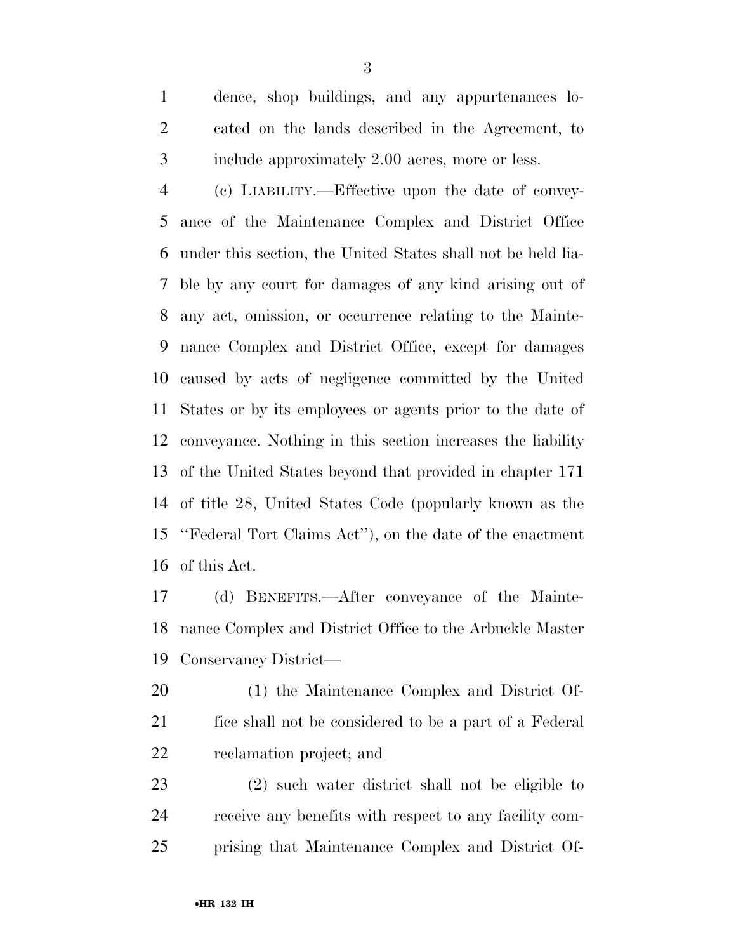cated on the lands described in the Agreement, to include approximately 2.00 acres, more or less.

 (c) LIABILITY.—Effective upon the date of convey- ance of the Maintenance Complex and District Office under this section, the United States shall not be held lia- ble by any court for damages of any kind arising out of any act, omission, or occurrence relating to the Mainte- nance Complex and District Office, except for damages caused by acts of negligence committed by the United States or by its employees or agents prior to the date of conveyance. Nothing in this section increases the liability of the United States beyond that provided in chapter 171 of title 28, United States Code (popularly known as the ''Federal Tort Claims Act''), on the date of the enactment of this Act.

 (d) BENEFITS.—After conveyance of the Mainte- nance Complex and District Office to the Arbuckle Master Conservancy District—

- (1) the Maintenance Complex and District Of- fice shall not be considered to be a part of a Federal reclamation project; and
- (2) such water district shall not be eligible to receive any benefits with respect to any facility com-prising that Maintenance Complex and District Of-